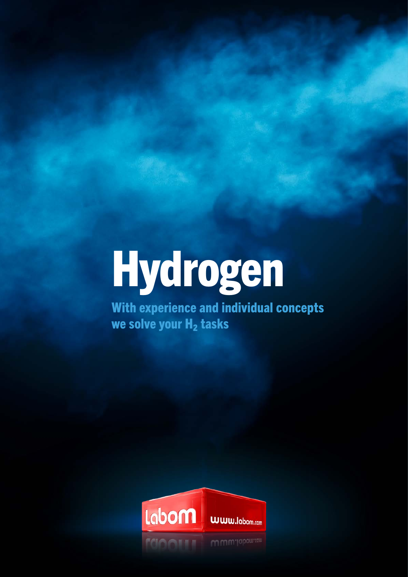# [Hydrogen](https://www.labom.com/en/industries/energy-and-environmental-technologies/hydrogen.html)

With experience and individual concepts we solve your  $H_2$  tasks

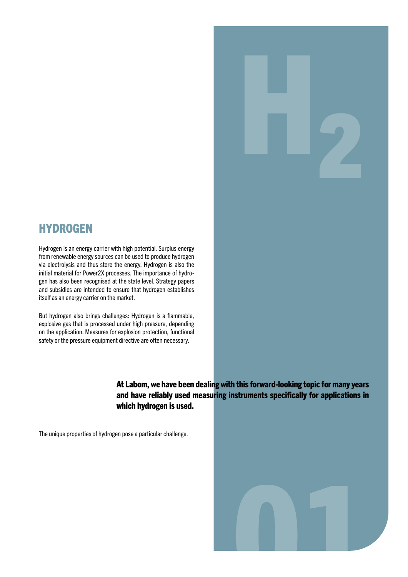#### **HYDROGEN**

Hydrogen is an energy carrier with high potential. Surplus energy from renewable energy sources can be used to produce hydrogen via electrolysis and thus store the energy. Hydrogen is also the initial material for Power2X processes. The importance of hydrogen has also been recognised at the state level. Strategy papers and subsidies are intended to ensure that hydrogen establishes itself as an energy carrier on the market.

But hydrogen also brings challenges: Hydrogen is a flammable, explosive gas that is processed under high pressure, depending on the application. Measures for explosion protection, functional safety or the pressure equipment directive are often necessary.

> At Labom, we have been dealing with this forward-looking topic for many years and have reliably used measuring instruments specifically for applications in which hydrogen is used.

The unique properties of hydrogen pose a particular challenge.



H₂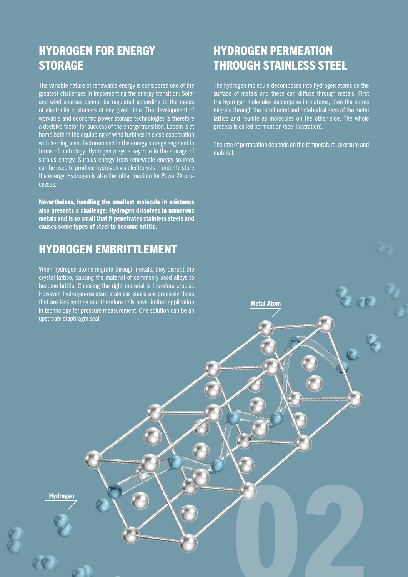# HYDROGEN FOR ENERGY **STORAGE**

The variable nature of renewable energy is considered one of the greatest challenges in implementing the energy transition: Solar and wind sources cannot be regulated according to the needs of electricity customers at any given time. The development of workable and economic power storage technologies is therefore a decisive factor for success of the energy transition. Labom is at home both in the equipping of wind turbines in close cooperation with leading manufacturers and in the energy storage segment in terms of metrology. Hydrogen plays a key role in the storage of surplus energy. Surplus energy from renewable energy sources can be used to produce hydrogen via electrolysis in order to store the energy. Hydrogen is also the initial medium for Power2X processes.

Nevertheless, handling the smallest molecule in existence also presents a challenge: Hydrogen dissolves in numerous metals and is so small that it penetrates stainless steels and causes some types of steel to become brittle.

#### HYDROGEN EMBRITTLEMENT

When hydrogen atoms migrate through metals, they disrupt the crystal lattice, causing the material of commonly used alloys to become brittle. Choosing the right material is therefore crucial. However, hydrogen-resistant stainless steels are precisely those that are less springy and therefore only have limited application in technology for pressure measurement. One solution can be an upstream diaphragm seal.

# HYDROGEN PERMEATION THROUGH STAINLESS STEEL

The hydrogen molecule decomposes into hydrogen atoms on the surface of metals and these can diffuse through metals: First the hydrogen molecules decompose into atoms, then the atoms migrate through the tetrahedral and octahedral gaps of the metal lattice and reunite as molecules on the other side. The whole process is called permeation (see illustration).

The rate of permeation depends on the temperature, pressure and material.

Metal Atom

02

Hydrogen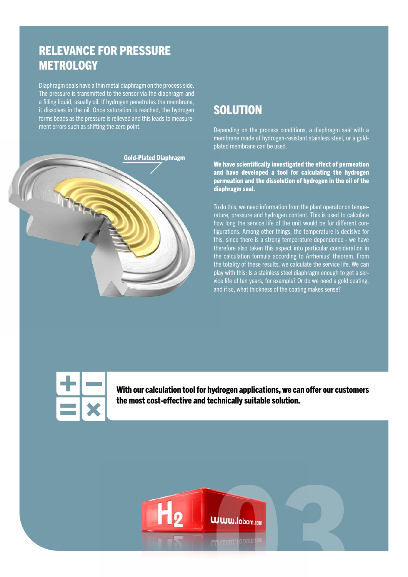### RELEVANCE FOR PRESSURE **METROLOGY**

Diaphragm seals have a thin metal diaphragm on the process side. The pressure is transmitted to the sensor via the diaphragm and a filling liquid, usually oil. If hydrogen penetrates the membrane, it dissolves in the oil. Once saturation is reached, the hydrogen forms beads as the pressure is relieved and this leads to measurement errors such as shifting the zero point.



## **SOLUTION**

Depending on the process conditions, a diaphragm seal with a membrane made of hydrogen-resistant stainless steel, or a goldplated membrane can be used.

We have scientifically investigated the effect of permeation and have developed a tool for calculating the hydrogen permeation and the dissolution of hydrogen in the oil of the diaphragm seal.

To do this, we need information from the plant operator on temperature, pressure and hydrogen content. This is used to calculate how long the service life of the unit would be for different configurations. Among other things, the temperature is decisive for this, since there is a strong temperature dependence - we have therefore also taken this aspect into particular consideration in the calculation formula according to Arrhenius' theorem. From the totality of these results, we calculate the service life. We can play with this: Is a stainless steel diaphragm enough to get a service life of ten years, for example? Or do we need a gold coating, and if so, what thickness of the coating makes sense?



With our calculation tool for hydrogen applications, we can offer our customers the most cost-effective and technically suitable solution.

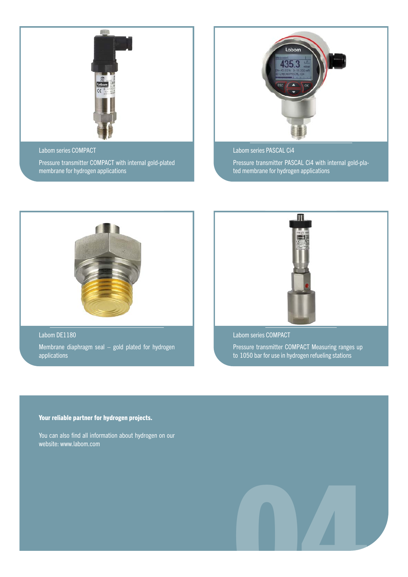

Labom series COMPACT

Pressure transmitter COMPACT with internal gold-plated membrane for hydrogen applications



Labom series PASCAL Ci4

Pressure transmitter PASCAL Ci4 with internal gold-plated membrane for hydrogen applications



Labom DE1180 Membrane diaphragm seal – gold plated for hydrogen applications



Labom series COMPACT Pressure transmitter COMPACT Measuring ranges up to 1050 bar for use in hydrogen refueling stations

Your reliable partner for hydrogen projects.

You can also find all information about hydrogen on our website: [www.labom.com](https://www.labom.com/en/industries/energy-and-environmental-technologies/hydrogen.html)